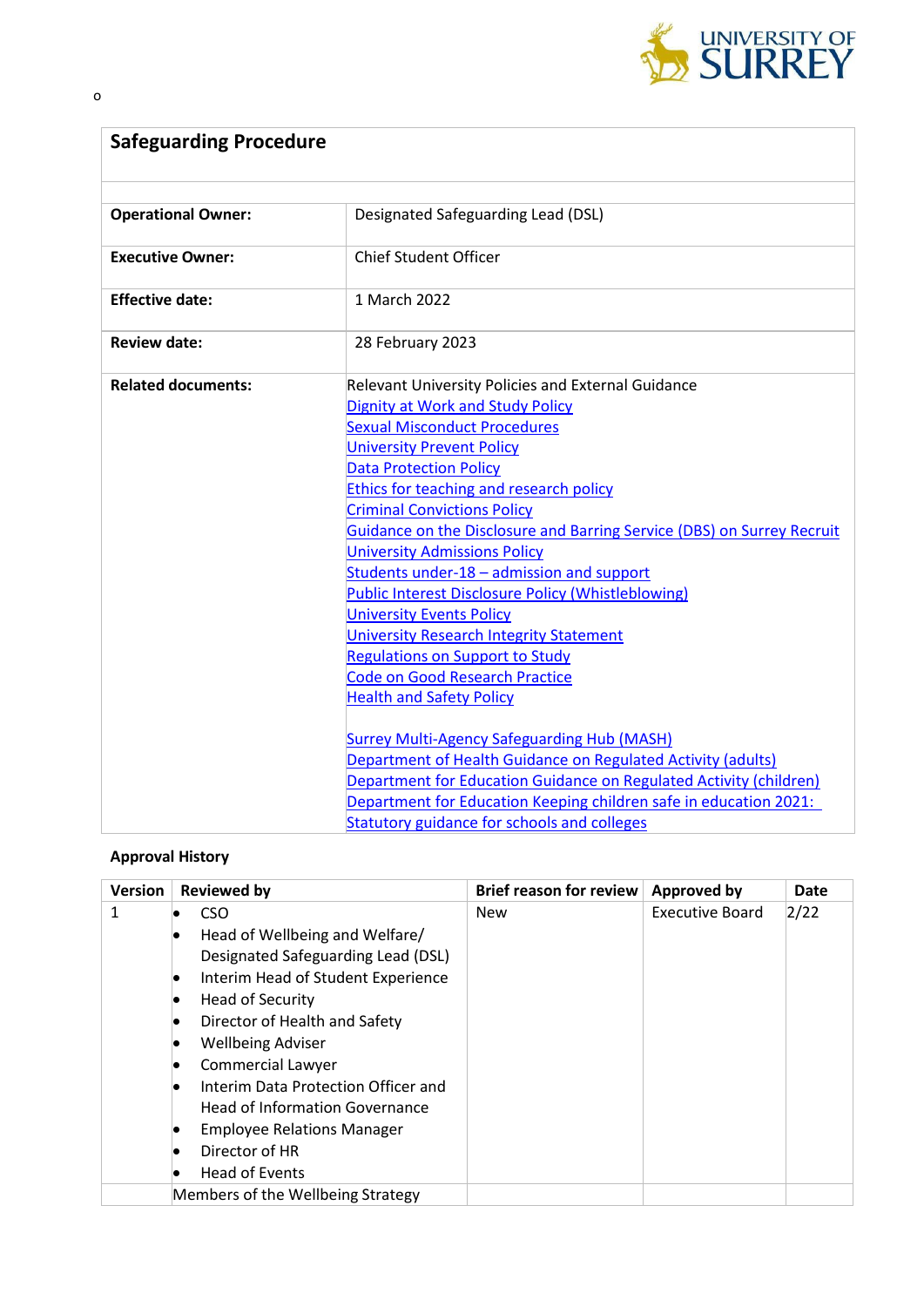

| <b>Safeguarding Procedure</b> |                                                                        |  |  |  |
|-------------------------------|------------------------------------------------------------------------|--|--|--|
|                               |                                                                        |  |  |  |
| <b>Operational Owner:</b>     | Designated Safeguarding Lead (DSL)                                     |  |  |  |
| <b>Executive Owner:</b>       | <b>Chief Student Officer</b>                                           |  |  |  |
| <b>Effective date:</b>        | 1 March 2022                                                           |  |  |  |
| <b>Review date:</b>           | 28 February 2023                                                       |  |  |  |
| <b>Related documents:</b>     | <b>Relevant University Policies and External Guidance</b>              |  |  |  |
|                               | <b>Dignity at Work and Study Policy</b>                                |  |  |  |
|                               | <b>Sexual Misconduct Procedures</b>                                    |  |  |  |
|                               | <b>University Prevent Policy</b>                                       |  |  |  |
|                               | <b>Data Protection Policy</b>                                          |  |  |  |
|                               | <b>Ethics for teaching and research policy</b>                         |  |  |  |
|                               | <b>Criminal Convictions Policy</b>                                     |  |  |  |
|                               | Guidance on the Disclosure and Barring Service (DBS) on Surrey Recruit |  |  |  |
|                               | <b>University Admissions Policy</b>                                    |  |  |  |
|                               | Students under-18 - admission and support                              |  |  |  |
|                               | <b>Public Interest Disclosure Policy (Whistleblowing)</b>              |  |  |  |
|                               | <b>University Events Policy</b>                                        |  |  |  |
|                               | <b>University Research Integrity Statement</b>                         |  |  |  |
|                               | <b>Regulations on Support to Study</b>                                 |  |  |  |
|                               | <b>Code on Good Research Practice</b>                                  |  |  |  |
|                               | <b>Health and Safety Policy</b>                                        |  |  |  |
|                               |                                                                        |  |  |  |
|                               | <b>Surrey Multi-Agency Safeguarding Hub (MASH)</b>                     |  |  |  |
|                               | Department of Health Guidance on Regulated Activity (adults)           |  |  |  |
|                               | Department for Education Guidance on Regulated Activity (children)     |  |  |  |
|                               | Department for Education Keeping children safe in education 2021:      |  |  |  |
|                               | Statutory guidance for schools and colleges                            |  |  |  |

# **Approval History**

| <b>Version</b> | <b>Reviewed by</b>                                                                                                                                                                                                                                               | <b>Brief reason for review</b> | <b>Approved by</b>     | Date |
|----------------|------------------------------------------------------------------------------------------------------------------------------------------------------------------------------------------------------------------------------------------------------------------|--------------------------------|------------------------|------|
| 1              | CSO.<br>Head of Wellbeing and Welfare/<br>$\bullet$<br>Designated Safeguarding Lead (DSL)<br>Interim Head of Student Experience<br>$\bullet$<br><b>Head of Security</b><br>Director of Health and Safety<br><b>Wellbeing Adviser</b><br><b>Commercial Lawyer</b> | <b>New</b>                     | <b>Executive Board</b> | 2/22 |
|                | Interim Data Protection Officer and<br><b>Head of Information Governance</b><br><b>Employee Relations Manager</b><br>Director of HR<br><b>Head of Events</b>                                                                                                     |                                |                        |      |
|                | Members of the Wellbeing Strategy                                                                                                                                                                                                                                |                                |                        |      |

o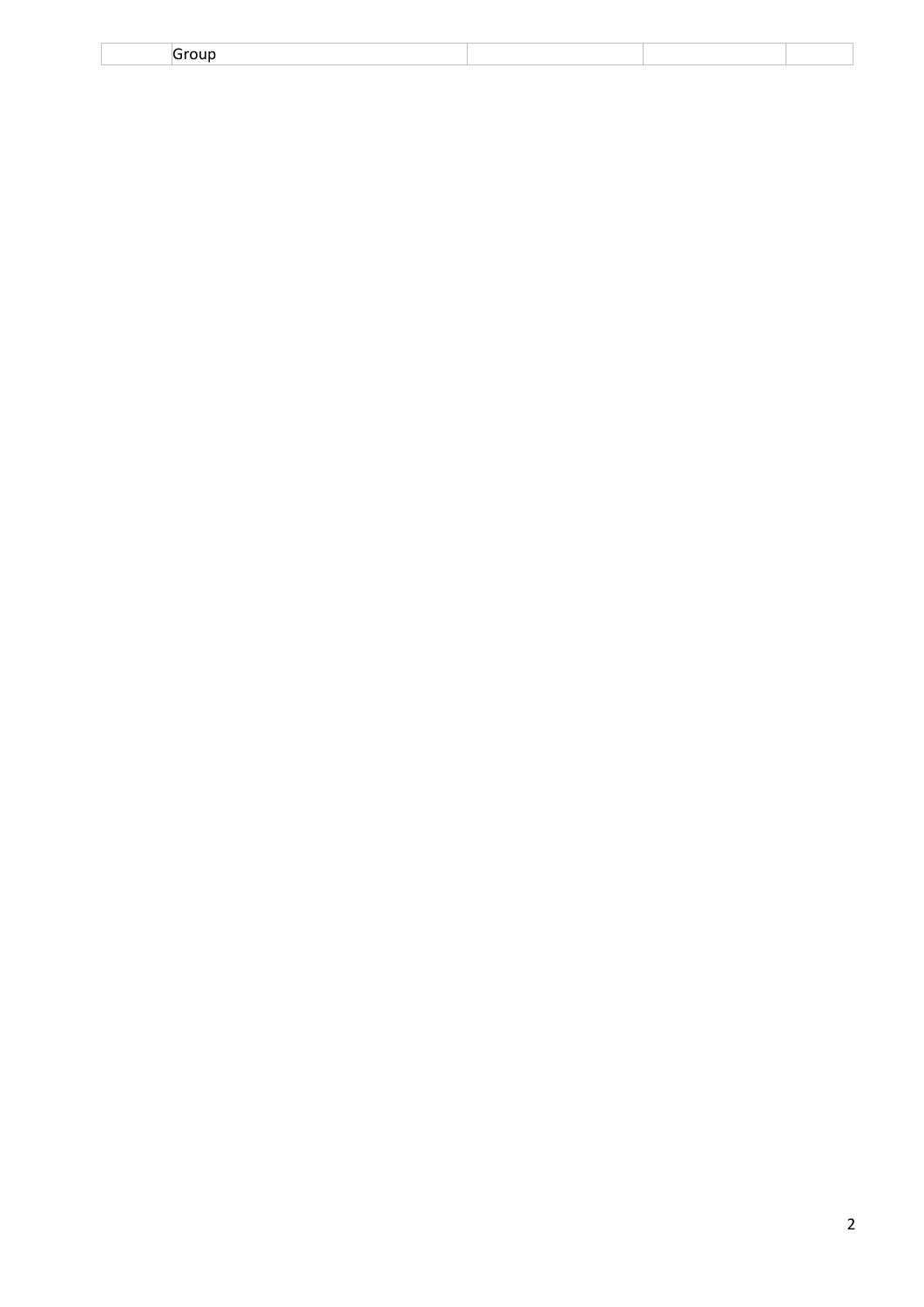| -<br>$\sim$ $\sim$ $\sim$ |  |  |
|---------------------------|--|--|
|                           |  |  |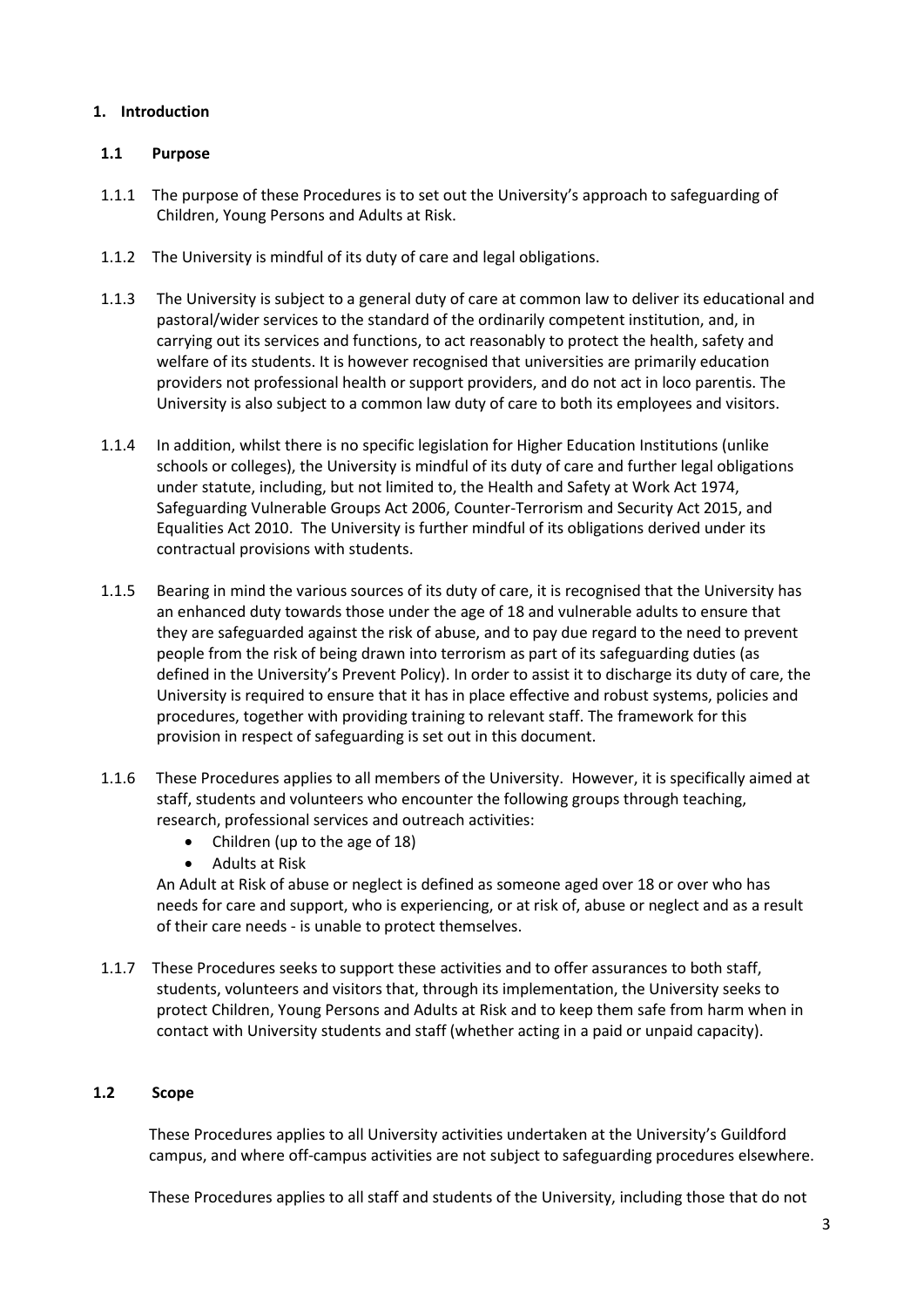## **1. Introduction**

### **1.1 Purpose**

- 1.1.1 The purpose of these Procedures is to set out the University's approach to safeguarding of Children, Young Persons and Adults at Risk.
- 1.1.2 The University is mindful of its duty of care and legal obligations.
- 1.1.3 The University is subject to a general duty of care at common law to deliver its educational and pastoral/wider services to the standard of the ordinarily competent institution, and, in carrying out its services and functions, to act reasonably to protect the health, safety and welfare of its students. It is however recognised that universities are primarily education providers not professional health or support providers, and do not act in loco parentis. The University is also subject to a common law duty of care to both its employees and visitors.
- 1.1.4 In addition, whilst there is no specific legislation for Higher Education Institutions (unlike schools or colleges), the University is mindful of its duty of care and further legal obligations under statute, including, but not limited to, the Health and Safety at Work Act 1974, Safeguarding Vulnerable Groups Act 2006, Counter-Terrorism and Security Act 2015, and Equalities Act 2010. The University is further mindful of its obligations derived under its contractual provisions with students.
- 1.1.5 Bearing in mind the various sources of its duty of care, it is recognised that the University has an enhanced duty towards those under the age of 18 and vulnerable adults to ensure that they are safeguarded against the risk of abuse, and to pay due regard to the need to prevent people from the risk of being drawn into terrorism as part of its safeguarding duties (as defined in the University's Prevent Policy). In order to assist it to discharge its duty of care, the University is required to ensure that it has in place effective and robust systems, policies and procedures, together with providing training to relevant staff. The framework for this provision in respect of safeguarding is set out in this document.
- 1.1.6 These Procedures applies to all members of the University. However, it is specifically aimed at staff, students and volunteers who encounter the following groups through teaching, research, professional services and outreach activities:
	- Children (up to the age of 18)
	- Adults at Risk

An Adult at Risk of abuse or neglect is defined as someone aged over 18 or over who has needs for care and support, who is experiencing, or at risk of, abuse or neglect and as a result of their care needs - is unable to protect themselves.

1.1.7 These Procedures seeks to support these activities and to offer assurances to both staff, students, volunteers and visitors that, through its implementation, the University seeks to protect Children, Young Persons and Adults at Risk and to keep them safe from harm when in contact with University students and staff (whether acting in a paid or unpaid capacity).

## **1.2 Scope**

These Procedures applies to all University activities undertaken at the University's Guildford campus, and where off-campus activities are not subject to safeguarding procedures elsewhere.

These Procedures applies to all staff and students of the University, including those that do not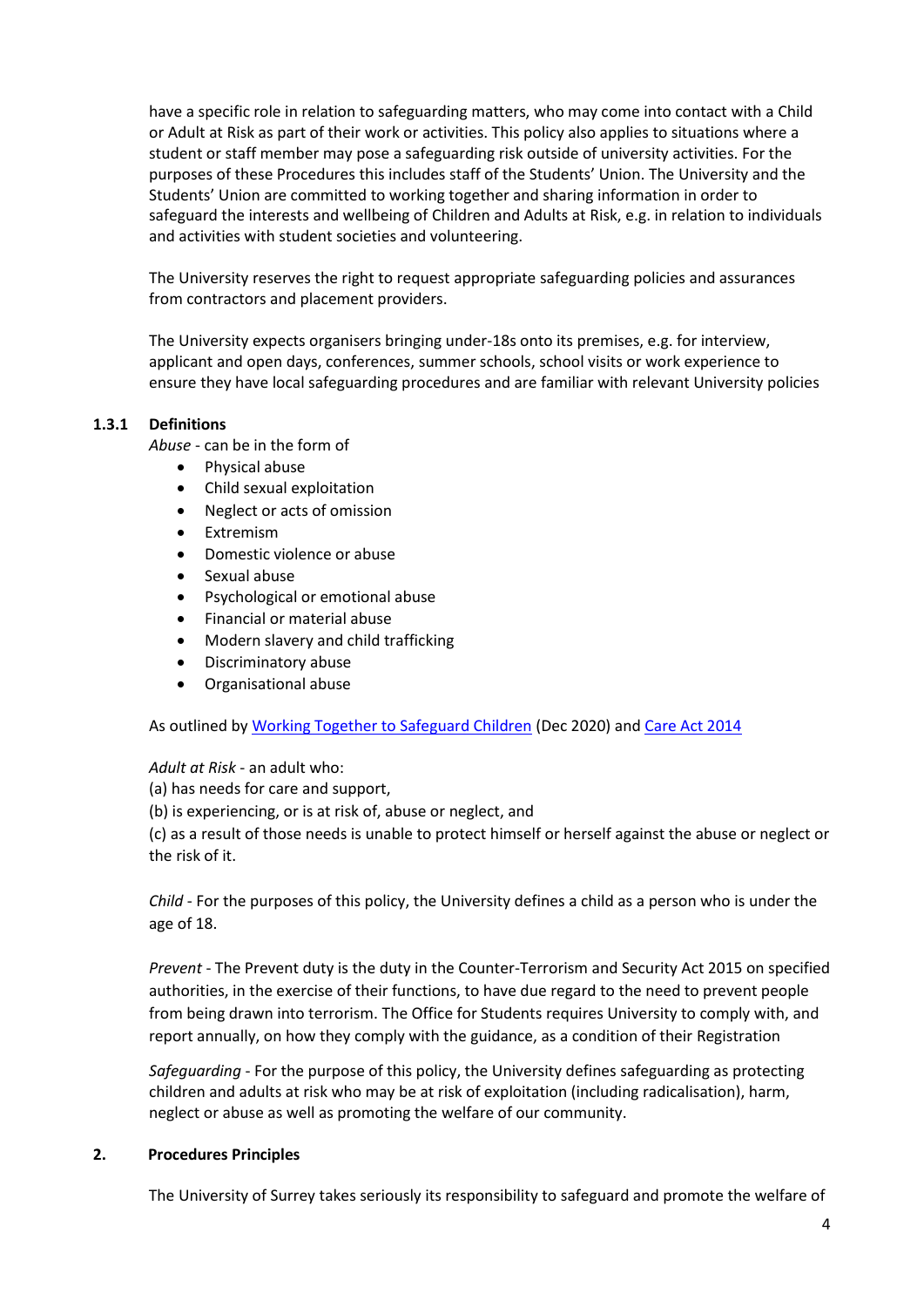have a specific role in relation to safeguarding matters, who may come into contact with a Child or Adult at Risk as part of their work or activities. This policy also applies to situations where a student or staff member may pose a safeguarding risk outside of university activities. For the purposes of these Procedures this includes staff of the Students' Union. The University and the Students' Union are committed to working together and sharing information in order to safeguard the interests and wellbeing of Children and Adults at Risk, e.g. in relation to individuals and activities with student societies and volunteering.

The University reserves the right to request appropriate safeguarding policies and assurances from contractors and placement providers.

The University expects organisers bringing under-18s onto its premises, e.g. for interview, applicant and open days, conferences, summer schools, school visits or work experience to ensure they have local safeguarding procedures and are familiar with relevant University policies

## **1.3.1 Definitions**

*Abuse* - can be in the form of

- Physical abuse
- Child sexual exploitation
- Neglect or acts of omission
- **Extremism**
- Domestic violence or abuse
- Sexual abuse
- Psychological or emotional abuse
- Financial or material abuse
- Modern slavery and child trafficking
- Discriminatory abuse
- Organisational abuse

As outlined by [Working Together to Safeguard Children](https://www.gov.uk/government/publications/working-together-to-safeguard-children--2) (Dec 2020) an[d Care Act 2014](https://gpnotebook.com/simplepage.cfm?ID=x20190403104824437326&linkID=79613)

*Adult at Risk* - an adult who:

(a) has needs for care and support,

(b) is experiencing, or is at risk of, abuse or neglect, and

(c) as a result of those needs is unable to protect himself or herself against the abuse or neglect or the risk of it.

*Child* - For the purposes of this policy, the University defines a child as a person who is under the age of 18.

*Prevent* - The Prevent duty is the duty in the Counter-Terrorism and Security Act 2015 on specified authorities, in the exercise of their functions, to have due regard to the need to prevent people from being drawn into terrorism. The Office for Students requires University to comply with, and report annually, on how they comply with the guidance, as a condition of their Registration

*Safeguarding* - For the purpose of this policy, the University defines safeguarding as protecting children and adults at risk who may be at risk of exploitation (including radicalisation), harm, neglect or abuse as well as promoting the welfare of our community.

#### **2. Procedures Principles**

The University of Surrey takes seriously its responsibility to safeguard and promote the welfare of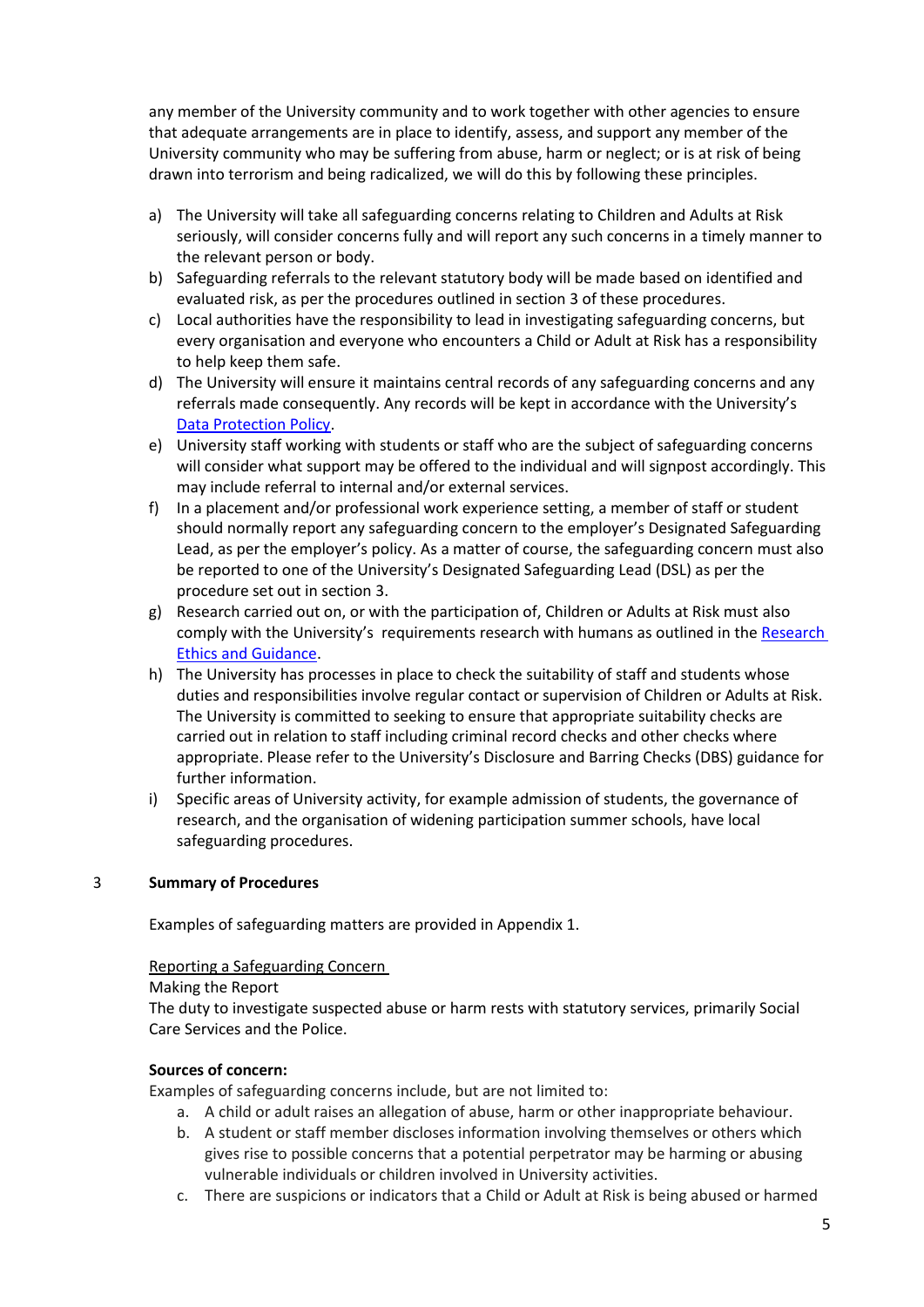any member of the University community and to work together with other agencies to ensure that adequate arrangements are in place to identify, assess, and support any member of the University community who may be suffering from abuse, harm or neglect; or is at risk of being drawn into terrorism and being radicalized, we will do this by following these principles.

- a) The University will take all safeguarding concerns relating to Children and Adults at Risk seriously, will consider concerns fully and will report any such concerns in a timely manner to the relevant person or body.
- b) Safeguarding referrals to the relevant statutory body will be made based on identified and evaluated risk, as per the procedures outlined in section 3 of these procedures.
- c) Local authorities have the responsibility to lead in investigating safeguarding concerns, but every organisation and everyone who encounters a Child or Adult at Risk has a responsibility to help keep them safe.
- d) The University will ensure it maintains central records of any safeguarding concerns and any referrals made consequently. Any records will be kept in accordance with the University's [Data Protection Policy.](https://www.surrey.ac.uk/sites/default/files/2021-06/data-protection-policy.pdf)
- e) University staff working with students or staff who are the subject of safeguarding concerns will consider what support may be offered to the individual and will signpost accordingly. This may include referral to internal and/or external services.
- f) In a placement and/or professional work experience setting, a member of staff or student should normally report any safeguarding concern to the employer's Designated Safeguarding Lead, as per the employer's policy. As a matter of course, the safeguarding concern must also be reported to one of the University's Designated Safeguarding Lead (DSL) as per the procedure set out in section 3.
- g) Research carried out on, or with the participation of, Children or Adults at Risk must also comply with the University's requirements research with humans as outlined in the Research [Ethics and Guidance.](https://surreynet.surrey.ac.uk/research-integrity-and-governance)
- h) The University has processes in place to check the suitability of staff and students whose duties and responsibilities involve regular contact or supervision of Children or Adults at Risk. The University is committed to seeking to ensure that appropriate suitability checks are carried out in relation to staff including criminal record checks and other checks where appropriate. Please refer to the University's Disclosure and Barring Checks (DBS) guidance for further information.
- i) Specific areas of University activity, for example admission of students, the governance of research, and the organisation of widening participation summer schools, have local safeguarding procedures.

## 3 **Summary of Procedures**

Examples of safeguarding matters are provided in Appendix 1.

#### Reporting a Safeguarding Concern

#### Making the Report

The duty to investigate suspected abuse or harm rests with statutory services, primarily Social Care Services and the Police.

#### **Sources of concern:**

Examples of safeguarding concerns include, but are not limited to:

- a. A child or adult raises an allegation of abuse, harm or other inappropriate behaviour.
- b. A student or staff member discloses information involving themselves or others which gives rise to possible concerns that a potential perpetrator may be harming or abusing vulnerable individuals or children involved in University activities.
- c. There are suspicions or indicators that a Child or Adult at Risk is being abused or harmed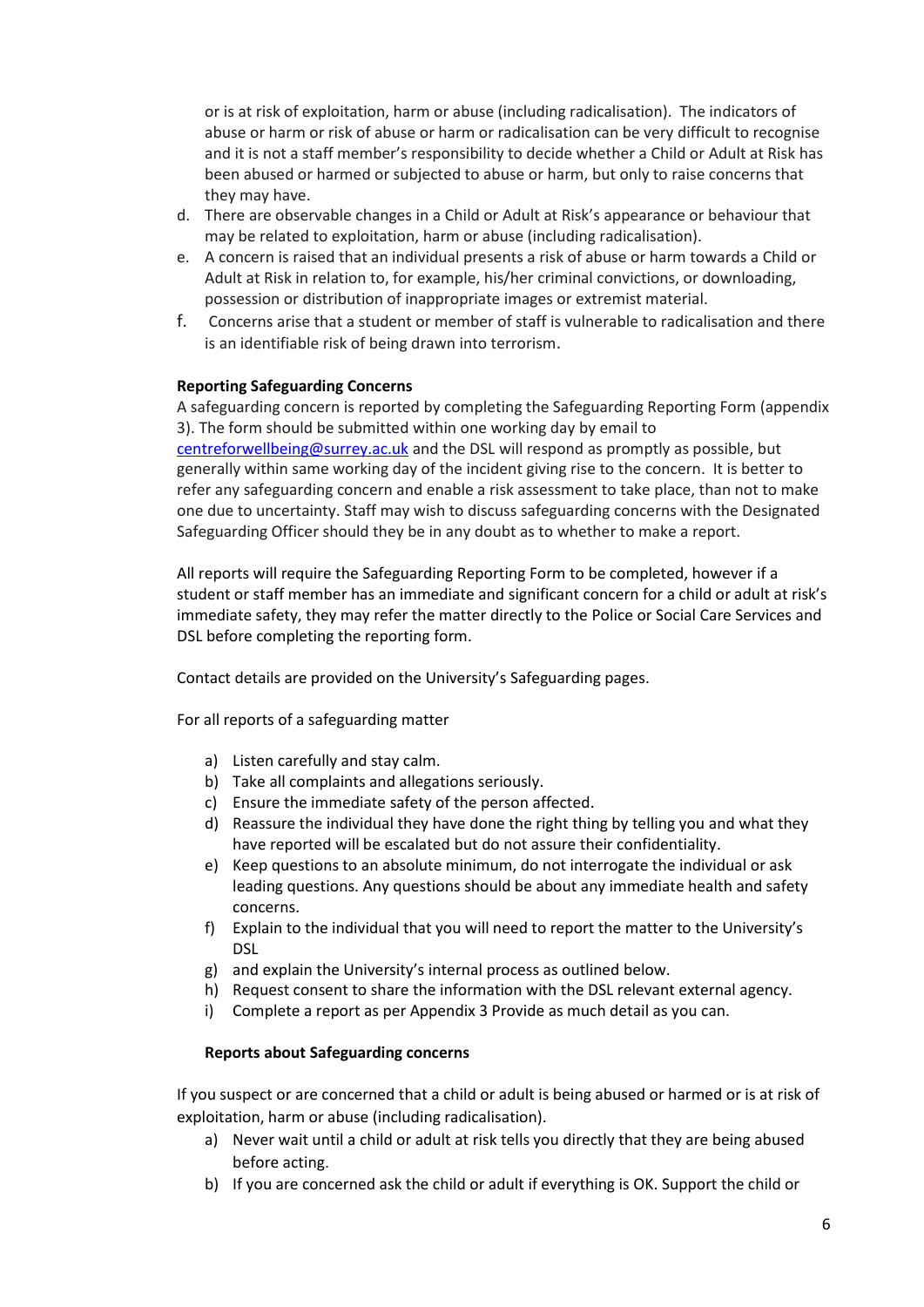or is at risk of exploitation, harm or abuse (including radicalisation). The indicators of abuse or harm or risk of abuse or harm or radicalisation can be very difficult to recognise and it is not a staff member's responsibility to decide whether a Child or Adult at Risk has been abused or harmed or subjected to abuse or harm, but only to raise concerns that they may have.

- d. There are observable changes in a Child or Adult at Risk's appearance or behaviour that may be related to exploitation, harm or abuse (including radicalisation).
- e. A concern is raised that an individual presents a risk of abuse or harm towards a Child or Adult at Risk in relation to, for example, his/her criminal convictions, or downloading, possession or distribution of inappropriate images or extremist material.
- f. Concerns arise that a student or member of staff is vulnerable to radicalisation and there is an identifiable risk of being drawn into terrorism.

### **Reporting Safeguarding Concerns**

A safeguarding concern is reported by completing the Safeguarding Reporting Form (appendix 3). The form should be submitted within one working day by email to [centreforwellbeing@surrey.ac.uk](mailto:centreforwellbeing@surrey.ac.uk) and the DSL will respond as promptly as possible, but generally within same working day of the incident giving rise to the concern. It is better to refer any safeguarding concern and enable a risk assessment to take place, than not to make one due to uncertainty. Staff may wish to discuss safeguarding concerns with the Designated Safeguarding Officer should they be in any doubt as to whether to make a report.

All reports will require the Safeguarding Reporting Form to be completed, however if a student or staff member has an immediate and significant concern for a child or adult at risk's immediate safety, they may refer the matter directly to the Police or Social Care Services and DSL before completing the reporting form.

Contact details are provided on the University's Safeguarding pages.

For all reports of a safeguarding matter

- a) Listen carefully and stay calm.
- b) Take all complaints and allegations seriously.
- c) Ensure the immediate safety of the person affected.
- d) Reassure the individual they have done the right thing by telling you and what they have reported will be escalated but do not assure their confidentiality.
- e) Keep questions to an absolute minimum, do not interrogate the individual or ask leading questions. Any questions should be about any immediate health and safety concerns.
- f) Explain to the individual that you will need to report the matter to the University's DSL
- g) and explain the University's internal process as outlined below.
- h) Request consent to share the information with the DSL relevant external agency.
- i) Complete a report as per Appendix 3 Provide as much detail as you can.

#### **Reports about Safeguarding concerns**

If you suspect or are concerned that a child or adult is being abused or harmed or is at risk of exploitation, harm or abuse (including radicalisation).

- a) Never wait until a child or adult at risk tells you directly that they are being abused before acting.
- b) If you are concerned ask the child or adult if everything is OK. Support the child or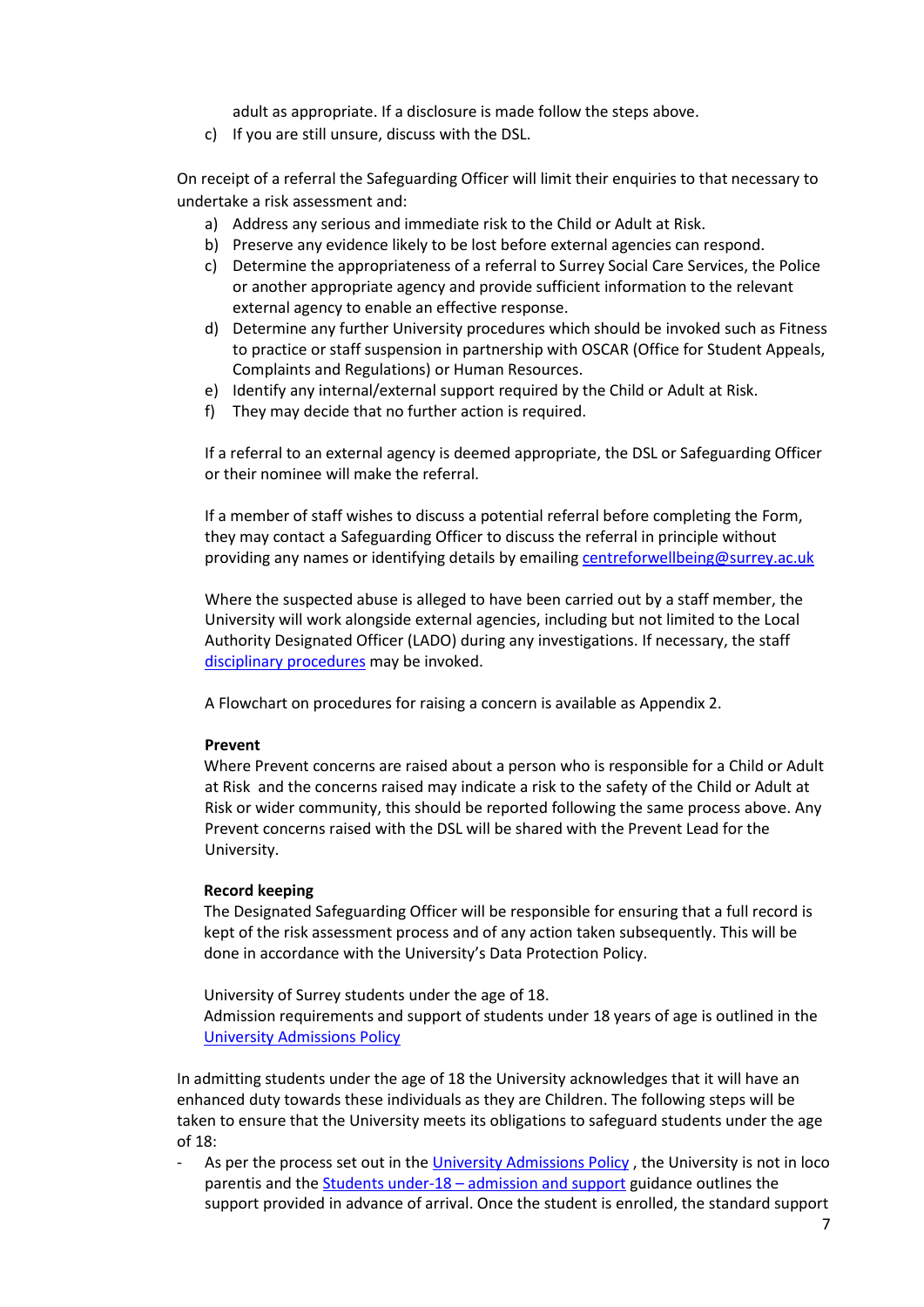adult as appropriate. If a disclosure is made follow the steps above.

c) If you are still unsure, discuss with the DSL.

On receipt of a referral the Safeguarding Officer will limit their enquiries to that necessary to undertake a risk assessment and:

- a) Address any serious and immediate risk to the Child or Adult at Risk.
- b) Preserve any evidence likely to be lost before external agencies can respond.
- c) Determine the appropriateness of a referral to Surrey Social Care Services, the Police or another appropriate agency and provide sufficient information to the relevant external agency to enable an effective response.
- d) Determine any further University procedures which should be invoked such as Fitness to practice or staff suspension in partnership with OSCAR (Office for Student Appeals, Complaints and Regulations) or Human Resources.
- e) Identify any internal/external support required by the Child or Adult at Risk.
- f) They may decide that no further action is required.

If a referral to an external agency is deemed appropriate, the DSL or Safeguarding Officer or their nominee will make the referral.

If a member of staff wishes to discuss a potential referral before completing the Form, they may contact a Safeguarding Officer to discuss the referral in principle without providing any names or identifying details by emailin[g centreforwellbeing@surrey.ac.uk](mailto:centreforwellbeing@surrey.ac.uk)

Where the suspected abuse is alleged to have been carried out by a staff member, the University will work alongside external agencies, including but not limited to the Local Authority Designated Officer (LADO) during any investigations. If necessary, the staff [disciplinary procedures](https://surreynet.surrey.ac.uk/sites/default/files/2019-10/Disciplinary%20Policy.pdf) may be invoked.

A Flowchart on procedures for raising a concern is available as Appendix 2.

#### **Prevent**

Where Prevent concerns are raised about a person who is responsible for a Child or Adult at Risk and the concerns raised may indicate a risk to the safety of the Child or Adult at Risk or wider community, this should be reported following the same process above. Any Prevent concerns raised with the DSL will be shared with the Prevent Lead for the University.

#### **Record keeping**

The Designated Safeguarding Officer will be responsible for ensuring that a full record is kept of the risk assessment process and of any action taken subsequently. This will be done in accordance with the University's Data Protection Policy.

University of Surrey students under the age of 18. Admission requirements and support of students under 18 years of age is outlined in the [University Admissions Policy](https://www.surrey.ac.uk/apply/policies)

In admitting students under the age of 18 the University acknowledges that it will have an enhanced duty towards these individuals as they are Children. The following steps will be taken to ensure that the University meets its obligations to safeguard students under the age of 18:

As per the process set out in th[e University Admissions Policy](https://www.surrey.ac.uk/apply/policies), the University is not in loco parentis and the Students under-18 – [admission and support](https://www.surrey.ac.uk/sites/default/files/2019-09/students-under-18-years-old-policy-2019.pdf) guidance outlines the support provided in advance of arrival. Once the student is enrolled, the standard support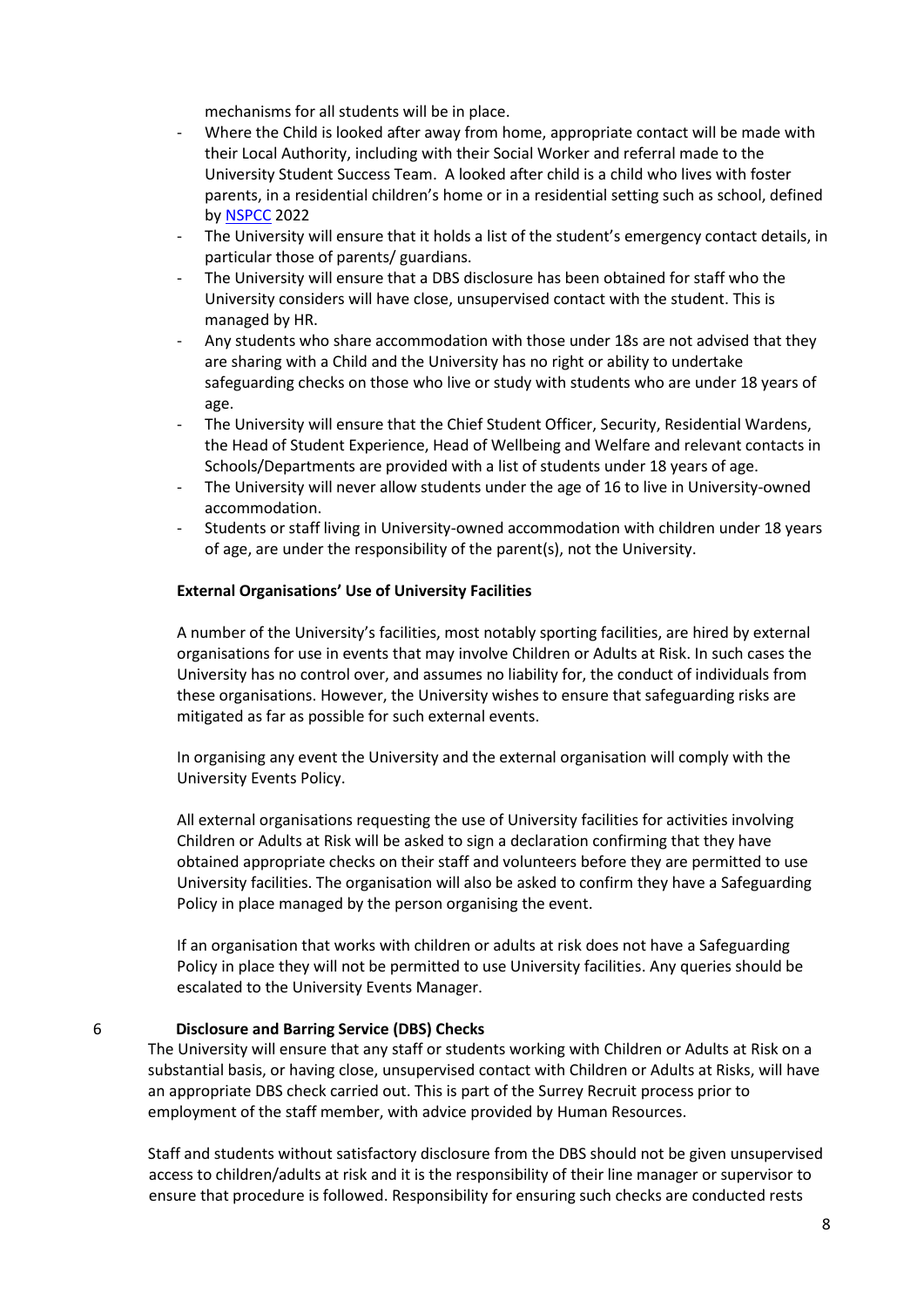mechanisms for all students will be in place.

- Where the Child is looked after away from home, appropriate contact will be made with their Local Authority, including with their Social Worker and referral made to the University Student Success Team. A looked after child is a child who lives with foster parents, in a residential children's home or in a residential setting such as school, defined by [NSPCC](https://learning.nspcc.org.uk/children-and-families-at-risk/looked-after-children#:~:text=But%20in%20general%2C%20looked%20after%20children%20are%3A%201,in%20residential%20settings%20like%20schools%20or%20secure%20units.) 2022
- The University will ensure that it holds a list of the student's emergency contact details, in particular those of parents/ guardians.
- The University will ensure that a DBS disclosure has been obtained for staff who the University considers will have close, unsupervised contact with the student. This is managed by HR.
- Any students who share accommodation with those under 18s are not advised that they are sharing with a Child and the University has no right or ability to undertake safeguarding checks on those who live or study with students who are under 18 years of age.
- The University will ensure that the Chief Student Officer, Security, Residential Wardens, the Head of Student Experience, Head of Wellbeing and Welfare and relevant contacts in Schools/Departments are provided with a list of students under 18 years of age.
- The University will never allow students under the age of 16 to live in University-owned accommodation.
- Students or staff living in University-owned accommodation with children under 18 years of age, are under the responsibility of the parent(s), not the University.

#### **External Organisations' Use of University Facilities**

A number of the University's facilities, most notably sporting facilities, are hired by external organisations for use in events that may involve Children or Adults at Risk. In such cases the University has no control over, and assumes no liability for, the conduct of individuals from these organisations. However, the University wishes to ensure that safeguarding risks are mitigated as far as possible for such external events.

In organising any event the University and the external organisation will comply with the University Events Policy.

All external organisations requesting the use of University facilities for activities involving Children or Adults at Risk will be asked to sign a declaration confirming that they have obtained appropriate checks on their staff and volunteers before they are permitted to use University facilities. The organisation will also be asked to confirm they have a Safeguarding Policy in place managed by the person organising the event.

If an organisation that works with children or adults at risk does not have a Safeguarding Policy in place they will not be permitted to use University facilities. Any queries should be escalated to the University Events Manager.

### 6 **Disclosure and Barring Service (DBS) Checks**

The University will ensure that any staff or students working with Children or Adults at Risk on a substantial basis, or having close, unsupervised contact with Children or Adults at Risks, will have an appropriate DBS check carried out. This is part of the Surrey Recruit process prior to employment of the staff member, with advice provided by Human Resources.

Staff and students without satisfactory disclosure from the DBS should not be given unsupervised access to children/adults at risk and it is the responsibility of their line manager or supervisor to ensure that procedure is followed. Responsibility for ensuring such checks are conducted rests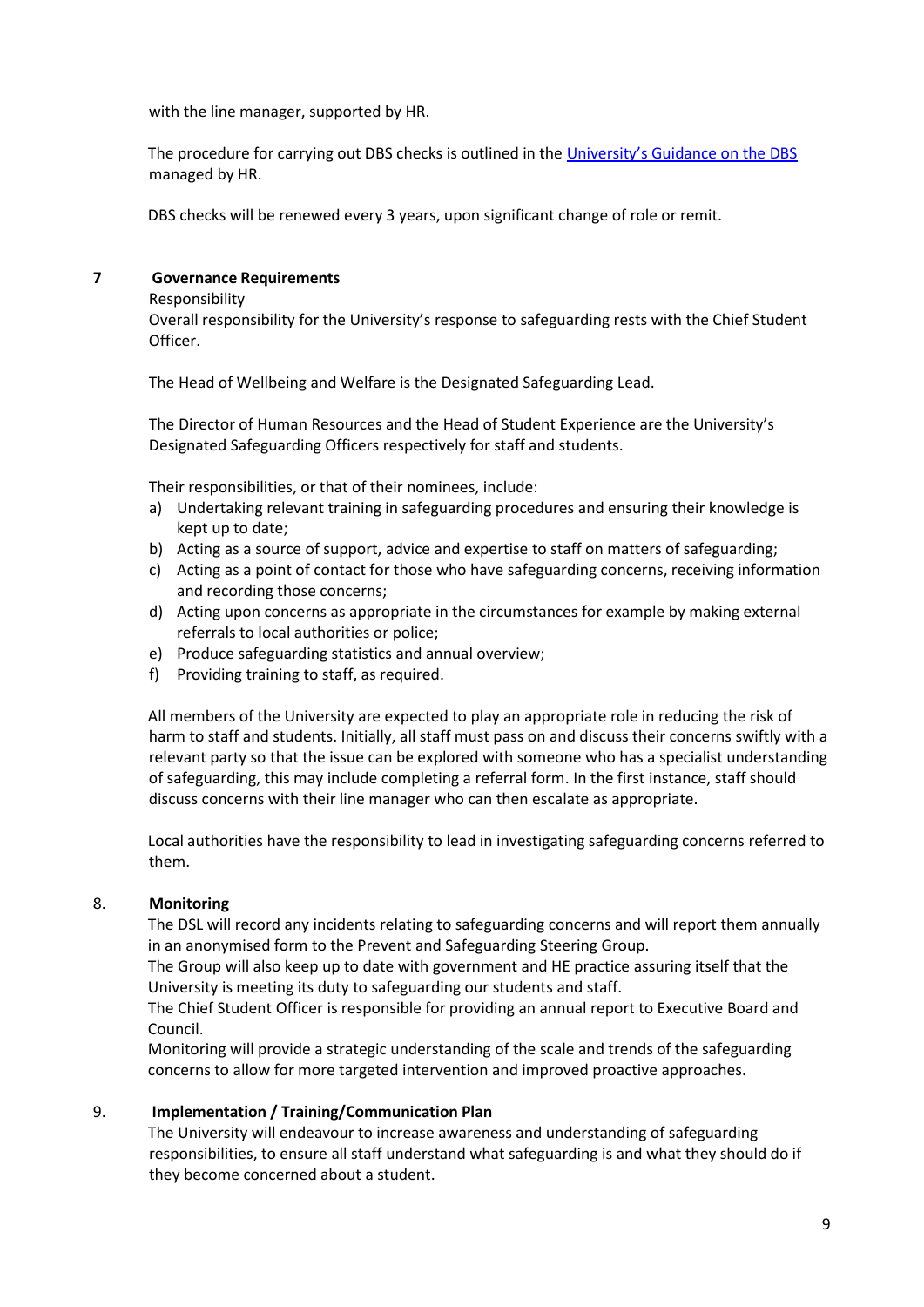with the line manager, supported by HR.

The procedure for carrying out DBS checks is outlined in the [University's Guidance on the DBS](https://surreynet.surrey.ac.uk/recruitment) managed by HR.

DBS checks will be renewed every 3 years, upon significant change of role or remit.

## **7 Governance Requirements**

Responsibility

Overall responsibility for the University's response to safeguarding rests with the Chief Student Officer.

The Head of Wellbeing and Welfare is the Designated Safeguarding Lead.

The Director of Human Resources and the Head of Student Experience are the University's Designated Safeguarding Officers respectively for staff and students.

Their responsibilities, or that of their nominees, include:

- a) Undertaking relevant training in safeguarding procedures and ensuring their knowledge is kept up to date;
- b) Acting as a source of support, advice and expertise to staff on matters of safeguarding;
- c) Acting as a point of contact for those who have safeguarding concerns, receiving information and recording those concerns;
- d) Acting upon concerns as appropriate in the circumstances for example by making external referrals to local authorities or police;
- e) Produce safeguarding statistics and annual overview;
- f) Providing training to staff, as required.

All members of the University are expected to play an appropriate role in reducing the risk of harm to staff and students. Initially, all staff must pass on and discuss their concerns swiftly with a relevant party so that the issue can be explored with someone who has a specialist understanding of safeguarding, this may include completing a referral form. In the first instance, staff should discuss concerns with their line manager who can then escalate as appropriate.

Local authorities have the responsibility to lead in investigating safeguarding concerns referred to them.

## 8. **Monitoring**

The DSL will record any incidents relating to safeguarding concerns and will report them annually in an anonymised form to the Prevent and Safeguarding Steering Group.

The Group will also keep up to date with government and HE practice assuring itself that the University is meeting its duty to safeguarding our students and staff.

The Chief Student Officer is responsible for providing an annual report to Executive Board and Council.

Monitoring will provide a strategic understanding of the scale and trends of the safeguarding concerns to allow for more targeted intervention and improved proactive approaches.

## 9. **Implementation / Training/Communication Plan**

The University will endeavour to increase awareness and understanding of safeguarding responsibilities, to ensure all staff understand what safeguarding is and what they should do if they become concerned about a student.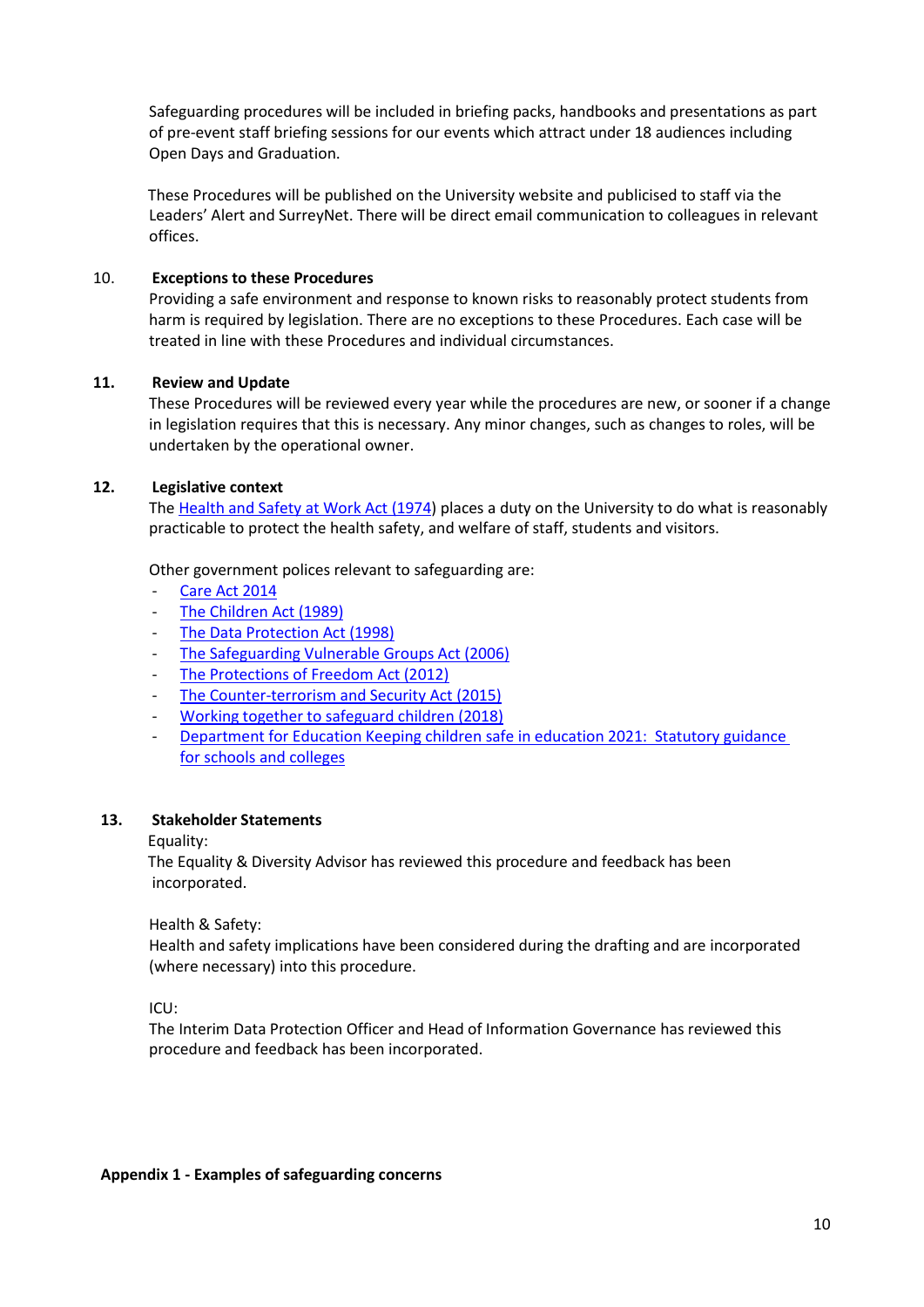Safeguarding procedures will be included in briefing packs, handbooks and presentations as part of pre-event staff briefing sessions for our events which attract under 18 audiences including Open Days and Graduation.

These Procedures will be published on the University website and publicised to staff via the Leaders' Alert and SurreyNet. There will be direct email communication to colleagues in relevant offices.

## 10. **Exceptions to these Procedures**

Providing a safe environment and response to known risks to reasonably protect students from harm is required by legislation. There are no exceptions to these Procedures. Each case will be treated in line with these Procedures and individual circumstances.

### **11. Review and Update**

These Procedures will be reviewed every year while the procedures are new, or sooner if a change in legislation requires that this is necessary. Any minor changes, such as changes to roles, will be undertaken by the operational owner.

### **12. Legislative context**

The [Health and Safety at Work Act \(1974\)](http://www.legislation.gov.uk/ukpga/1974/37) places a duty on the University to do what is reasonably practicable to protect the health safety, and welfare of staff, students and visitors.

Other government polices relevant to safeguarding are:

- [Care Act 2014](https://www.legislation.gov.uk/ukpga/2014/23/contents/enacted)
- [The Children Act \(1989\)](https://www.legislation.gov.uk/ukpga/1989/41/contents)
- [The Data Protection Act \(1998\)](https://www.legislation.gov.uk/ukpga/1998/29/contents)
- [The Safeguarding Vulnerable Groups Act \(2006\)](https://www.legislation.gov.uk/ukpga/2006/47/contents)
- [The Protections of Freedom Act \(2012\)](https://www.legislation.gov.uk/ukpga/2012/9/contents/enacted)
- [The Counter-terrorism and Security Act \(2015\)](https://www.gov.uk/government/collections/counter-terrorism-and-security-bill)
- [Working together to safeguard children](https://assets.publishing.service.gov.uk/government/uploads/system/uploads/attachment_data/file/779401/Working_Together_to_Safeguard-Children.pdf) (2018)
- Department for Education Keeping children safe in education 2021: Statutory guidance [for schools and colleges](https://assets.publishing.service.gov.uk/government/uploads/system/uploads/attachment_data/file/1021914/KCSIE_2021_September_guidance.pdf)

#### **13. Stakeholder Statements**

Equality:

The Equality & Diversity Advisor has reviewed this procedure and feedback has been incorporated.

Health & Safety:

Health and safety implications have been considered during the drafting and are incorporated (where necessary) into this procedure.

ICU:

The Interim Data Protection Officer and Head of Information Governance has reviewed this procedure and feedback has been incorporated.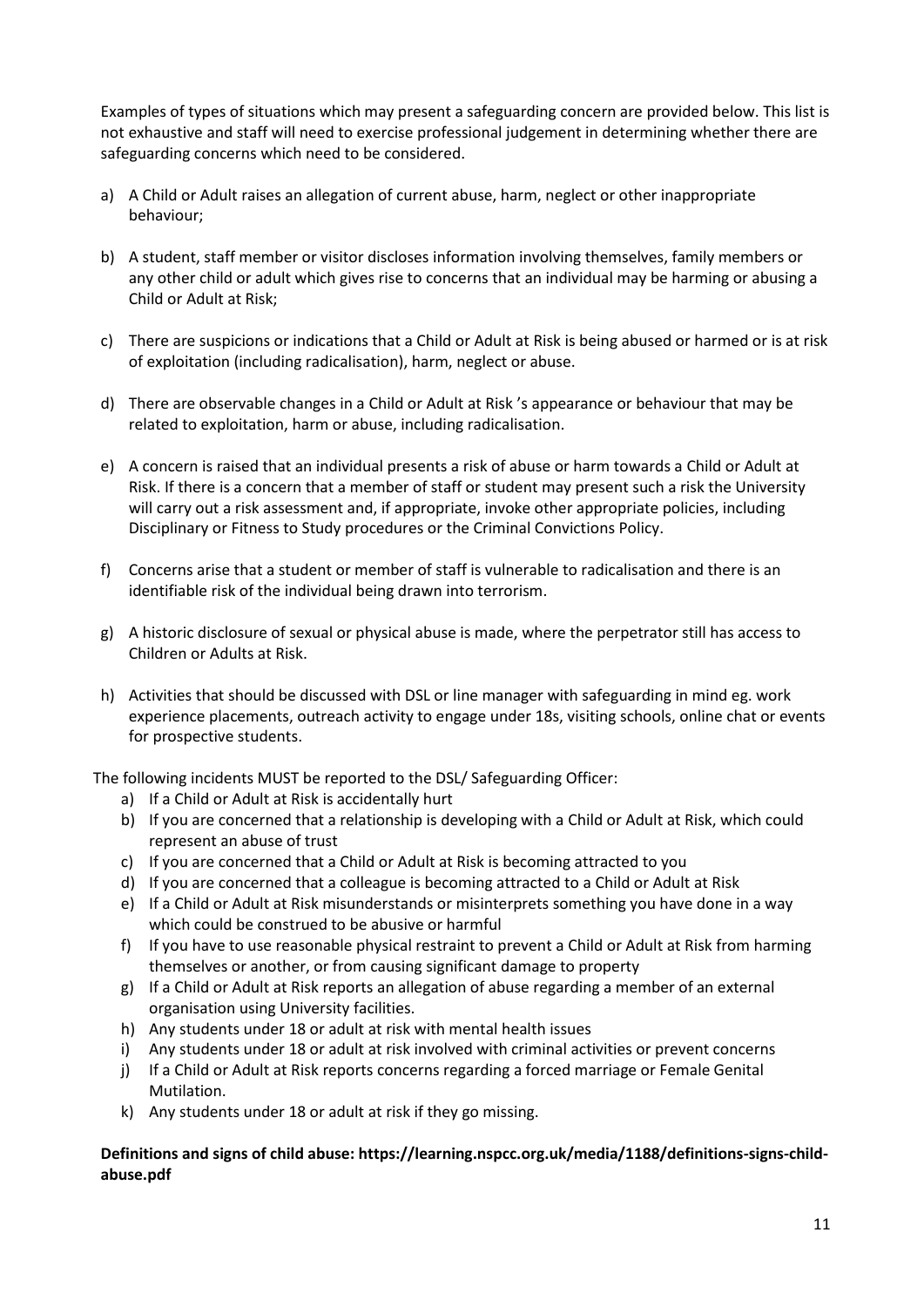Examples of types of situations which may present a safeguarding concern are provided below. This list is not exhaustive and staff will need to exercise professional judgement in determining whether there are safeguarding concerns which need to be considered.

- a) A Child or Adult raises an allegation of current abuse, harm, neglect or other inappropriate behaviour;
- b) A student, staff member or visitor discloses information involving themselves, family members or any other child or adult which gives rise to concerns that an individual may be harming or abusing a Child or Adult at Risk;
- c) There are suspicions or indications that a Child or Adult at Risk is being abused or harmed or is at risk of exploitation (including radicalisation), harm, neglect or abuse.
- d) There are observable changes in a Child or Adult at Risk 's appearance or behaviour that may be related to exploitation, harm or abuse, including radicalisation.
- e) A concern is raised that an individual presents a risk of abuse or harm towards a Child or Adult at Risk. If there is a concern that a member of staff or student may present such a risk the University will carry out a risk assessment and, if appropriate, invoke other appropriate policies, including Disciplinary or Fitness to Study procedures or the Criminal Convictions Policy.
- f) Concerns arise that a student or member of staff is vulnerable to radicalisation and there is an identifiable risk of the individual being drawn into terrorism.
- g) A historic disclosure of sexual or physical abuse is made, where the perpetrator still has access to Children or Adults at Risk.
- h) Activities that should be discussed with DSL or line manager with safeguarding in mind eg. work experience placements, outreach activity to engage under 18s, visiting schools, online chat or events for prospective students.

The following incidents MUST be reported to the DSL/ Safeguarding Officer:

- a) If a Child or Adult at Risk is accidentally hurt
- b) If you are concerned that a relationship is developing with a Child or Adult at Risk, which could represent an abuse of trust
- c) If you are concerned that a Child or Adult at Risk is becoming attracted to you
- d) If you are concerned that a colleague is becoming attracted to a Child or Adult at Risk
- e) If a Child or Adult at Risk misunderstands or misinterprets something you have done in a way which could be construed to be abusive or harmful
- f) If you have to use reasonable physical restraint to prevent a Child or Adult at Risk from harming themselves or another, or from causing significant damage to property
- g) If a Child or Adult at Risk reports an allegation of abuse regarding a member of an external organisation using University facilities.
- h) Any students under 18 or adult at risk with mental health issues
- i) Any students under 18 or adult at risk involved with criminal activities or prevent concerns
- j) If a Child or Adult at Risk reports concerns regarding a forced marriage or Female Genital Mutilation.
- k) Any students under 18 or adult at risk if they go missing.

### **Definitions and signs of child abuse: https://learning.nspcc.org.uk/media/1188/definitions-signs-childabuse.pdf**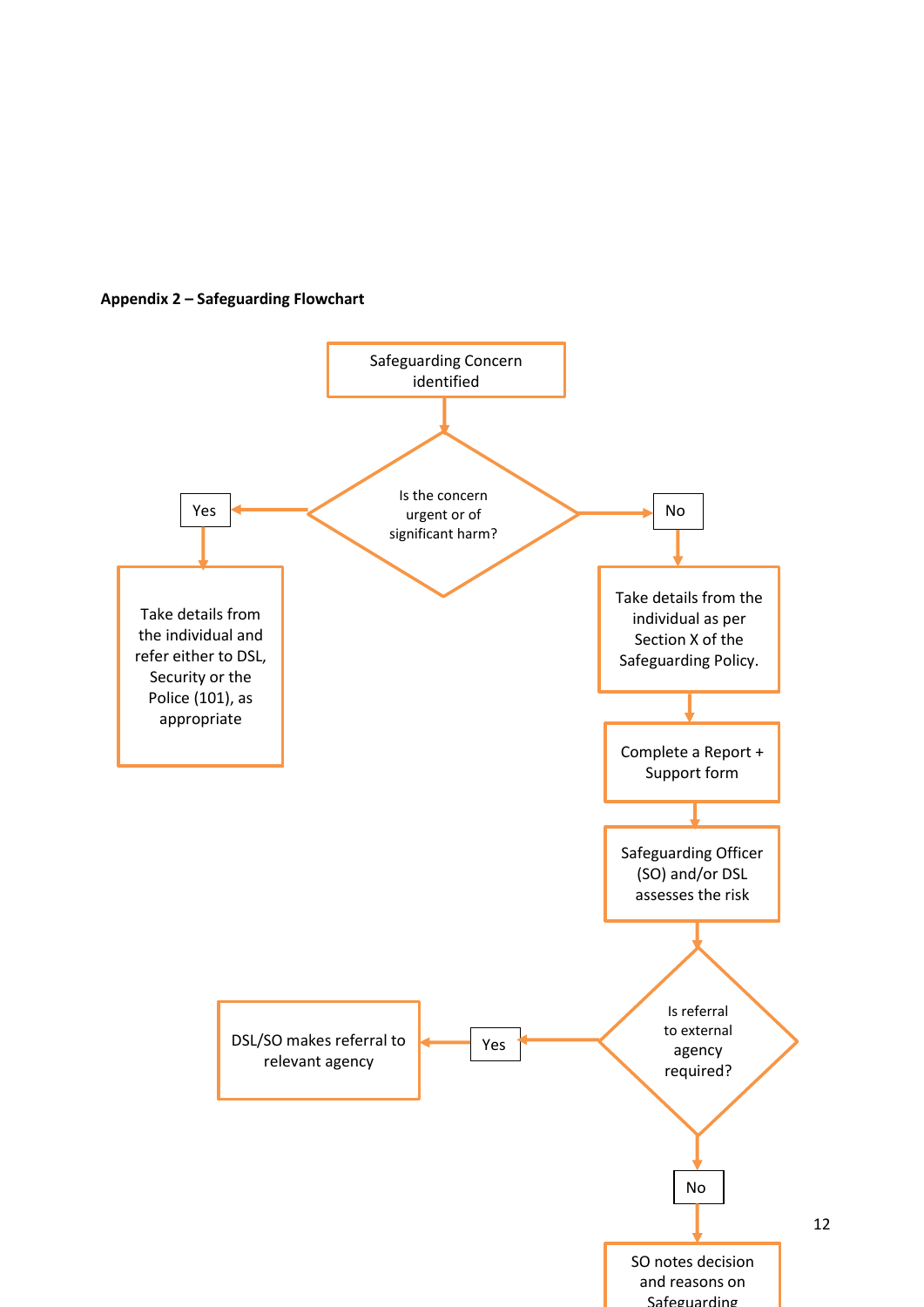

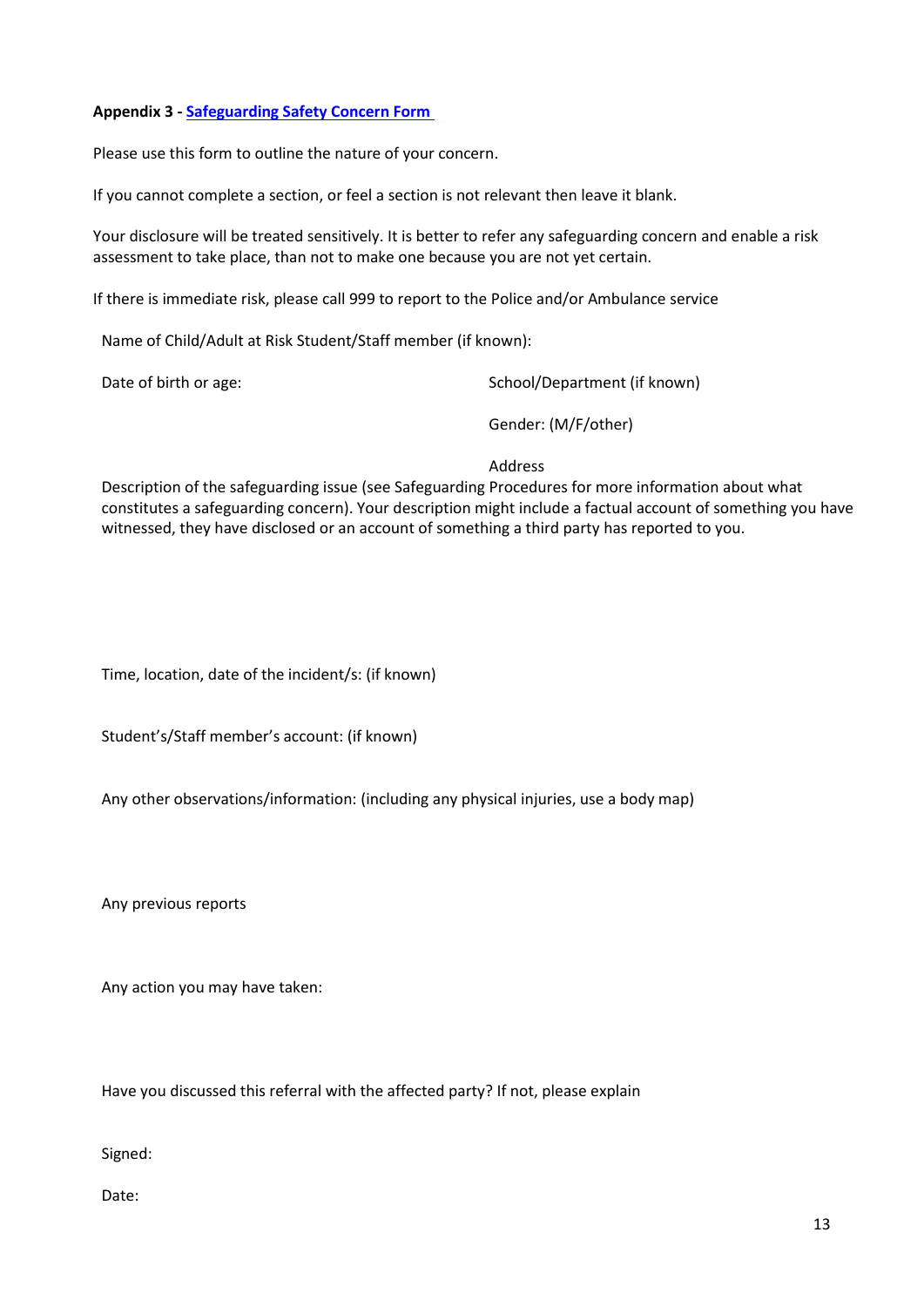### **Appendix 3 - [Safeguarding Safety Concern Form](https://forms.office.com/Pages/ResponsePage.aspx?id=kyaQa3QQqkCeIdiURqLrtVvFbi8RmKdPu8F38Xt8GiVUNktPSzRYM1JWMzFWUjRZSElGSjFJUThNMy4u)**

Please use this form to outline the nature of your concern.

If you cannot complete a section, or feel a section is not relevant then leave it blank.

Your disclosure will be treated sensitively. It is better to refer any safeguarding concern and enable a risk assessment to take place, than not to make one because you are not yet certain.

If there is immediate risk, please call 999 to report to the Police and/or Ambulance service

Name of Child/Adult at Risk Student/Staff member (if known):

Date of birth or age:  $School/Department$  (if known)

Gender: (M/F/other)

### Address

Description of the safeguarding issue (see Safeguarding Procedures for more information about what constitutes a safeguarding concern). Your description might include a factual account of something you have witnessed, they have disclosed or an account of something a third party has reported to you.

Time, location, date of the incident/s: (if known)

Student's/Staff member's account: (if known)

Any other observations/information: (including any physical injuries, use a body map)

Any previous reports

Any action you may have taken:

Have you discussed this referral with the affected party? If not, please explain

Signed:

Date: